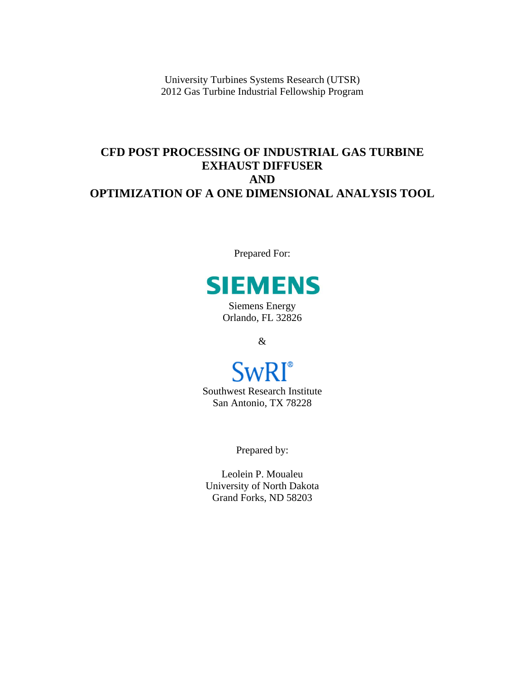University Turbines Systems Research (UTSR) 2012 Gas Turbine Industrial Fellowship Program

# **CFD POST PROCESSING OF INDUSTRIAL GAS TURBINE EXHAUST DIFFUSER AND OPTIMIZATION OF A ONE DIMENSIONAL ANALYSIS TOOL**

Prepared For:



Siemens Energy Orlando, FL 32826

&

# **SwRI**<sup>®</sup>

Southwest Research Institute San Antonio, TX 78228

Prepared by:

Leolein P. Moualeu University of North Dakota Grand Forks, ND 58203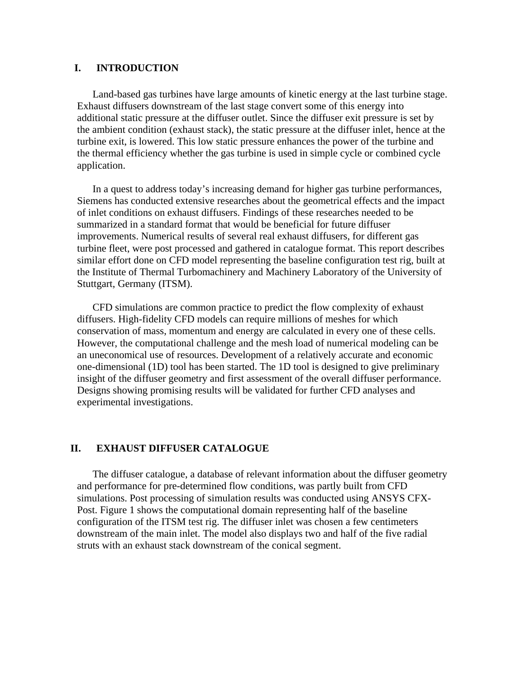#### **I. INTRODUCTION**

Land-based gas turbines have large amounts of kinetic energy at the last turbine stage. Exhaust diffusers downstream of the last stage convert some of this energy into additional static pressure at the diffuser outlet. Since the diffuser exit pressure is set by the ambient condition (exhaust stack), the static pressure at the diffuser inlet, hence at the turbine exit, is lowered. This low static pressure enhances the power of the turbine and the thermal efficiency whether the gas turbine is used in simple cycle or combined cycle application.

In a quest to address today's increasing demand for higher gas turbine performances, Siemens has conducted extensive researches about the geometrical effects and the impact of inlet conditions on exhaust diffusers. Findings of these researches needed to be summarized in a standard format that would be beneficial for future diffuser improvements. Numerical results of several real exhaust diffusers, for different gas turbine fleet, were post processed and gathered in catalogue format. This report describes similar effort done on CFD model representing the baseline configuration test rig, built at the Institute of Thermal Turbomachinery and Machinery Laboratory of the University of Stuttgart, Germany (ITSM).

CFD simulations are common practice to predict the flow complexity of exhaust diffusers. High-fidelity CFD models can require millions of meshes for which conservation of mass, momentum and energy are calculated in every one of these cells. However, the computational challenge and the mesh load of numerical modeling can be an uneconomical use of resources. Development of a relatively accurate and economic one-dimensional (1D) tool has been started. The 1D tool is designed to give preliminary insight of the diffuser geometry and first assessment of the overall diffuser performance. Designs showing promising results will be validated for further CFD analyses and experimental investigations.

#### **II. EXHAUST DIFFUSER CATALOGUE**

The diffuser catalogue, a database of relevant information about the diffuser geometry and performance for pre-determined flow conditions, was partly built from CFD simulations. Post processing of simulation results was conducted using ANSYS CFX-Post. Figure 1 shows the computational domain representing half of the baseline configuration of the ITSM test rig. The diffuser inlet was chosen a few centimeters downstream of the main inlet. The model also displays two and half of the five radial struts with an exhaust stack downstream of the conical segment.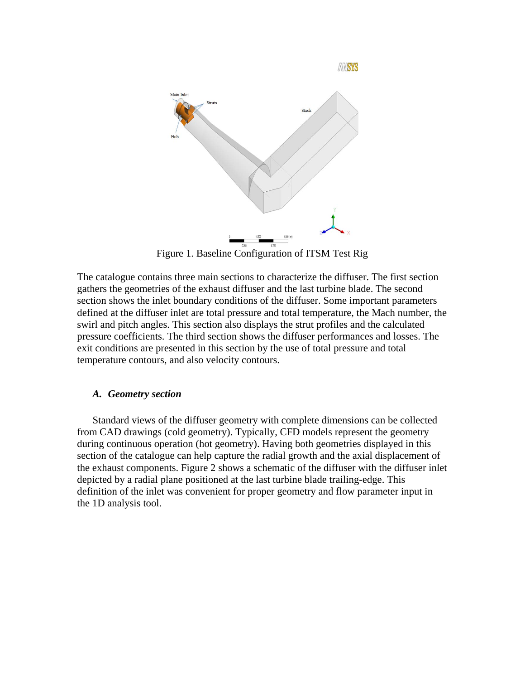

AMSYS

Figure 1. Baseline Configuration of ITSM Test Rig

The catalogue contains three main sections to characterize the diffuser. The first section gathers the geometries of the exhaust diffuser and the last turbine blade. The second section shows the inlet boundary conditions of the diffuser. Some important parameters defined at the diffuser inlet are total pressure and total temperature, the Mach number, the swirl and pitch angles. This section also displays the strut profiles and the calculated pressure coefficients. The third section shows the diffuser performances and losses. The exit conditions are presented in this section by the use of total pressure and total temperature contours, and also velocity contours.

# *A. Geometry section*

Standard views of the diffuser geometry with complete dimensions can be collected from CAD drawings (cold geometry). Typically, CFD models represent the geometry during continuous operation (hot geometry). Having both geometries displayed in this section of the catalogue can help capture the radial growth and the axial displacement of the exhaust components. Figure 2 shows a schematic of the diffuser with the diffuser inlet depicted by a radial plane positioned at the last turbine blade trailing-edge. This definition of the inlet was convenient for proper geometry and flow parameter input in the 1D analysis tool.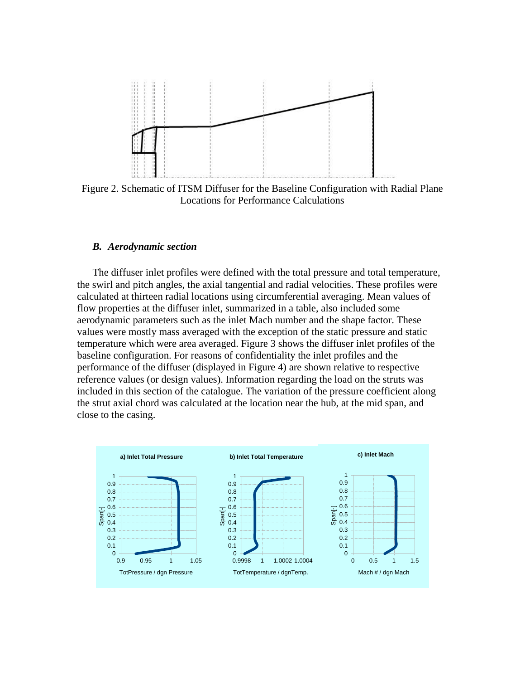

Figure 2. Schematic of ITSM Diffuser for the Baseline Configuration with Radial Plane Locations for Performance Calculations

#### *B. Aerodynamic section*

The diffuser inlet profiles were defined with the total pressure and total temperature, the swirl and pitch angles, the axial tangential and radial velocities. These profiles were calculated at thirteen radial locations using circumferential averaging. Mean values of flow properties at the diffuser inlet, summarized in a table, also included some aerodynamic parameters such as the inlet Mach number and the shape factor. These values were mostly mass averaged with the exception of the static pressure and static temperature which were area averaged. Figure 3 shows the diffuser inlet profiles of the baseline configuration. For reasons of confidentiality the inlet profiles and the performance of the diffuser (displayed in Figure 4) are shown relative to respective reference values (or design values). Information regarding the load on the struts was included in this section of the catalogue. The variation of the pressure coefficient along the strut axial chord was calculated at the location near the hub, at the mid span, and close to the casing.

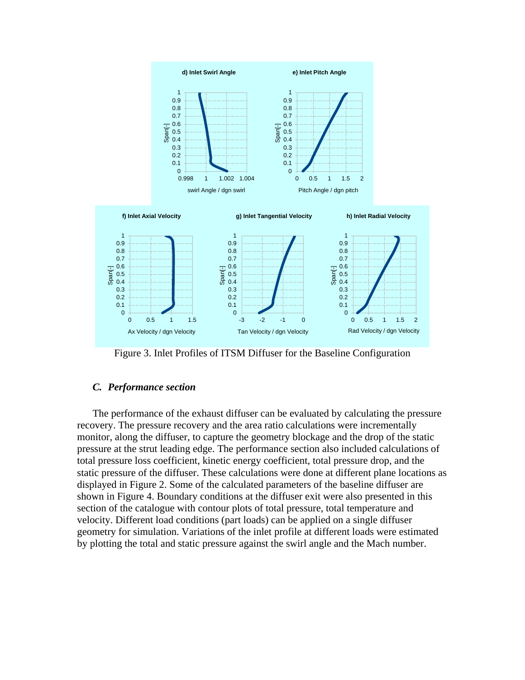

Figure 3. Inlet Profiles of ITSM Diffuser for the Baseline Configuration

# *C. Performance section*

The performance of the exhaust diffuser can be evaluated by calculating the pressure recovery. The pressure recovery and the area ratio calculations were incrementally monitor, along the diffuser, to capture the geometry blockage and the drop of the static pressure at the strut leading edge. The performance section also included calculations of total pressure loss coefficient, kinetic energy coefficient, total pressure drop, and the static pressure of the diffuser. These calculations were done at different plane locations as displayed in Figure 2. Some of the calculated parameters of the baseline diffuser are shown in Figure 4. Boundary conditions at the diffuser exit were also presented in this section of the catalogue with contour plots of total pressure, total temperature and velocity. Different load conditions (part loads) can be applied on a single diffuser geometry for simulation. Variations of the inlet profile at different loads were estimated by plotting the total and static pressure against the swirl angle and the Mach number.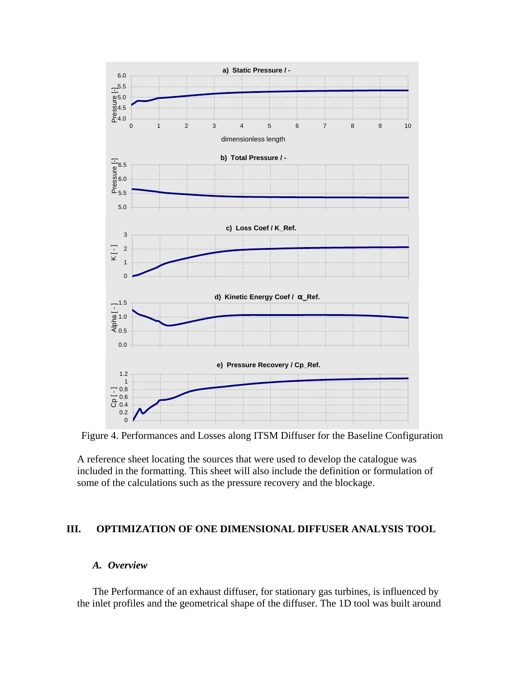

Figure 4. Performances and Losses along ITSM Diffuser for the Baseline Configuration

A reference sheet locating the sources that were used to develop the catalogue was included in the formatting. This sheet will also include the definition or formulation of some of the calculations such as the pressure recovery and the blockage.

# **III. OPTIMIZATION OF ONE DIMENSIONAL DIFFUSER ANALYSIS TOOL**

#### *A. Overview*

The Performance of an exhaust diffuser, for stationary gas turbines, is influenced by the inlet profiles and the geometrical shape of the diffuser. The 1D tool was built around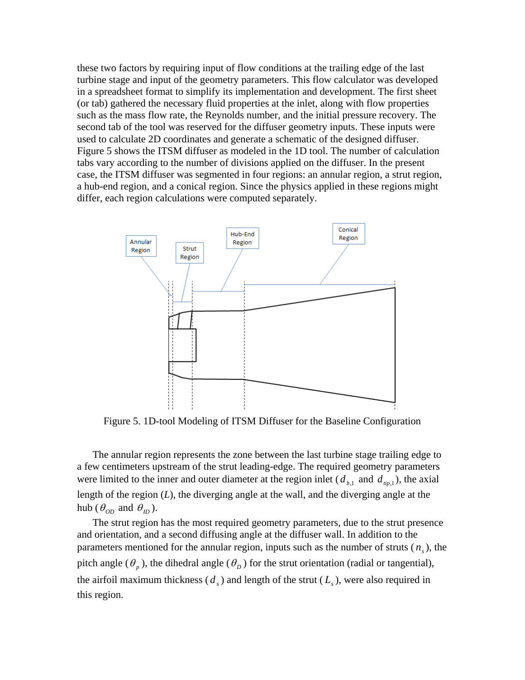these two factors by requiring input of flow conditions at the trailing edge of the last turbine stage and input of the geometry parameters. This flow calculator was developed in a spreadsheet format to simplify its implementation and development. The first sheet (or tab) gathered the necessary fluid properties at the inlet, along with flow properties such as the mass flow rate, the Reynolds number, and the initial pressure recovery. The second tab of the tool was reserved for the diffuser geometry inputs. These inputs were used to calculate 2D coordinates and generate a schematic of the designed diffuser. Figure 5 shows the ITSM diffuser as modeled in the 1D tool. The number of calculation tabs vary according to the number of divisions applied on the diffuser. In the present case, the ITSM diffuser was segmented in four regions: an annular region, a strut region, a hub-end region, and a conical region. Since the physics applied in these regions might differ, each region calculations were computed separately.



Figure 5. 1D-tool Modeling of ITSM Diffuser for the Baseline Configuration

The annular region represents the zone between the last turbine stage trailing edge to a few centimeters upstream of the strut leading-edge. The required geometry parameters were limited to the inner and outer diameter at the region inlet ( $d_{h,1}$  and  $d_{tip,1}$ ), the axial length of the region (*L*), the diverging angle at the wall, and the diverging angle at the hub ( $\theta_{OD}$  and  $\theta_{ID}$ ).

The strut region has the most required geometry parameters, due to the strut presence and orientation, and a second diffusing angle at the diffuser wall. In addition to the parameters mentioned for the annular region, inputs such as the number of struts  $(n<sub>s</sub>)$ , the pitch angle ( $\theta_p$ ), the dihedral angle ( $\theta_p$ ) for the strut orientation (radial or tangential), the airfoil maximum thickness  $(d_s)$  and length of the strut  $(L_s)$ , were also required in this region.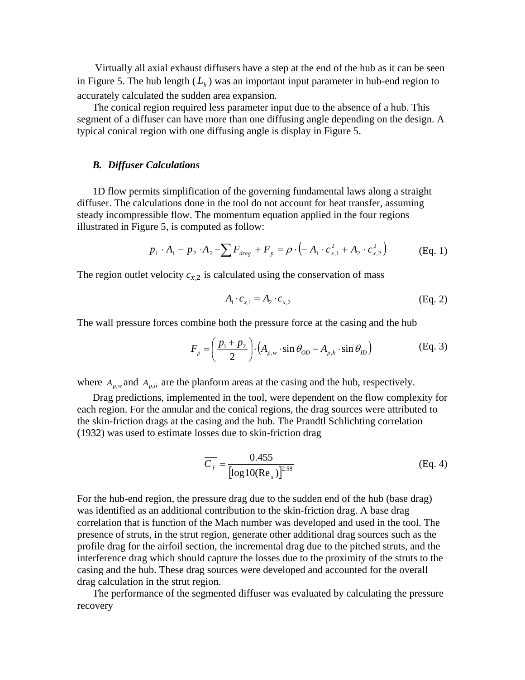Virtually all axial exhaust diffusers have a step at the end of the hub as it can be seen in Figure 5. The hub length  $(L<sub>b</sub>)$  was an important input parameter in hub-end region to accurately calculated the sudden area expansion.

The conical region required less parameter input due to the absence of a hub. This segment of a diffuser can have more than one diffusing angle depending on the design. A typical conical region with one diffusing angle is display in Figure 5.

#### *B. Diffuser Calculations*

1D flow permits simplification of the governing fundamental laws along a straight diffuser. The calculations done in the tool do not account for heat transfer, assuming steady incompressible flow. The momentum equation applied in the four regions illustrated in Figure 5, is computed as follow:

$$
p_1 \cdot A_1 - p_2 \cdot A_2 - \sum F_{drag} + F_p = \rho \cdot \left( -A_1 \cdot c_{x,1}^2 + A_2 \cdot c_{x,2}^2 \right)
$$
 (Eq. 1)

The region outlet velocity  $c_{x,2}$  is calculated using the conservation of mass

$$
A_1 \cdot c_{x,1} = A_2 \cdot c_{x,2} \tag{Eq. 2}
$$

The wall pressure forces combine both the pressure force at the casing and the hub

$$
F_p = \left(\frac{p_1 + p_2}{2}\right) \cdot \left(A_{p,w} \cdot \sin \theta_{OD} - A_{p,h} \cdot \sin \theta_{ID}\right)
$$
 (Eq. 3)

where  $A_{p,\omega}$  and  $A_{p,h}$  are the planform areas at the casing and the hub, respectively.

Drag predictions, implemented in the tool, were dependent on the flow complexity for each region. For the annular and the conical regions, the drag sources were attributed to the skin-friction drags at the casing and the hub. The Prandtl Schlichting correlation (1932) was used to estimate losses due to skin-friction drag

$$
\overline{C_f} = \frac{0.455}{[\log 10(\text{Re}_x)]^{2.58}}
$$
 (Eq. 4)

For the hub-end region, the pressure drag due to the sudden end of the hub (base drag) was identified as an additional contribution to the skin-friction drag. A base drag correlation that is function of the Mach number was developed and used in the tool. The presence of struts, in the strut region, generate other additional drag sources such as the profile drag for the airfoil section, the incremental drag due to the pitched struts, and the interference drag which should capture the losses due to the proximity of the struts to the casing and the hub. These drag sources were developed and accounted for the overall drag calculation in the strut region.

The performance of the segmented diffuser was evaluated by calculating the pressure recovery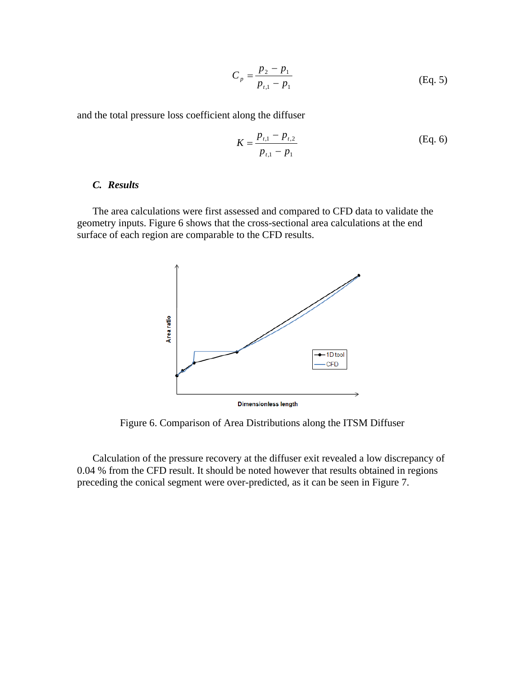$$
C_p = \frac{p_2 - p_1}{p_{t,1} - p_1}
$$
 (Eq. 5)

and the total pressure loss coefficient along the diffuser

$$
K = \frac{p_{t,1} - p_{t,2}}{p_{t,1} - p_1}
$$
 (Eq. 6)

# *C. Results*

The area calculations were first assessed and compared to CFD data to validate the geometry inputs. Figure 6 shows that the cross-sectional area calculations at the end surface of each region are comparable to the CFD results.



Figure 6. Comparison of Area Distributions along the ITSM Diffuser

Calculation of the pressure recovery at the diffuser exit revealed a low discrepancy of 0.04 % from the CFD result. It should be noted however that results obtained in regions preceding the conical segment were over-predicted, as it can be seen in Figure 7.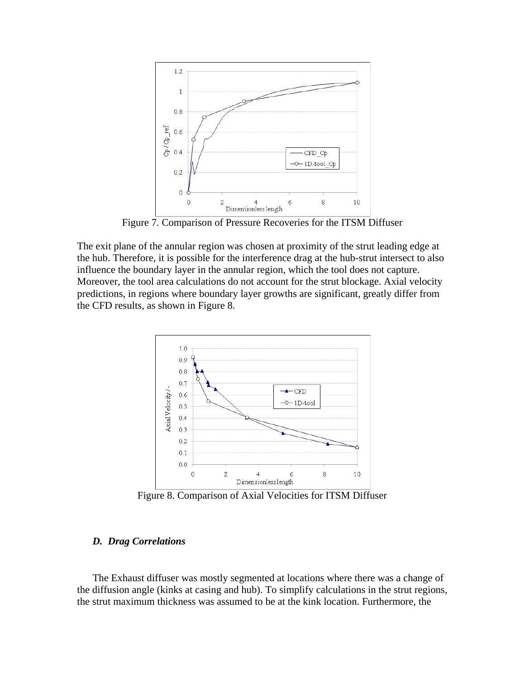

Figure 7. Comparison of Pressure Recoveries for the ITSM Diffuser

The exit plane of the annular region was chosen at proximity of the strut leading edge at the hub. Therefore, it is possible for the interference drag at the hub-strut intersect to also influence the boundary layer in the annular region, which the tool does not capture. Moreover, the tool area calculations do not account for the strut blockage. Axial velocity predictions, in regions where boundary layer growths are significant, greatly differ from the CFD results, as shown in Figure 8.



Figure 8. Comparison of Axial Velocities for ITSM Diffuser

#### *D. Drag Correlations*

The Exhaust diffuser was mostly segmented at locations where there was a change of the diffusion angle (kinks at casing and hub). To simplify calculations in the strut regions, the strut maximum thickness was assumed to be at the kink location. Furthermore, the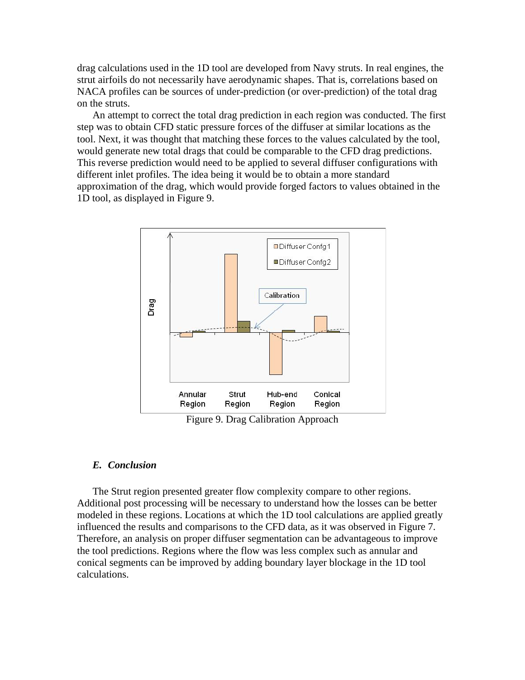drag calculations used in the 1D tool are developed from Navy struts. In real engines, the strut airfoils do not necessarily have aerodynamic shapes. That is, correlations based on NACA profiles can be sources of under-prediction (or over-prediction) of the total drag on the struts.

An attempt to correct the total drag prediction in each region was conducted. The first step was to obtain CFD static pressure forces of the diffuser at similar locations as the tool. Next, it was thought that matching these forces to the values calculated by the tool, would generate new total drags that could be comparable to the CFD drag predictions. This reverse prediction would need to be applied to several diffuser configurations with different inlet profiles. The idea being it would be to obtain a more standard approximation of the drag, which would provide forged factors to values obtained in the 1D tool, as displayed in Figure 9.



Figure 9. Drag Calibration Approach

#### *E. Conclusion*

The Strut region presented greater flow complexity compare to other regions. Additional post processing will be necessary to understand how the losses can be better modeled in these regions. Locations at which the 1D tool calculations are applied greatly influenced the results and comparisons to the CFD data, as it was observed in Figure 7. Therefore, an analysis on proper diffuser segmentation can be advantageous to improve the tool predictions. Regions where the flow was less complex such as annular and conical segments can be improved by adding boundary layer blockage in the 1D tool calculations.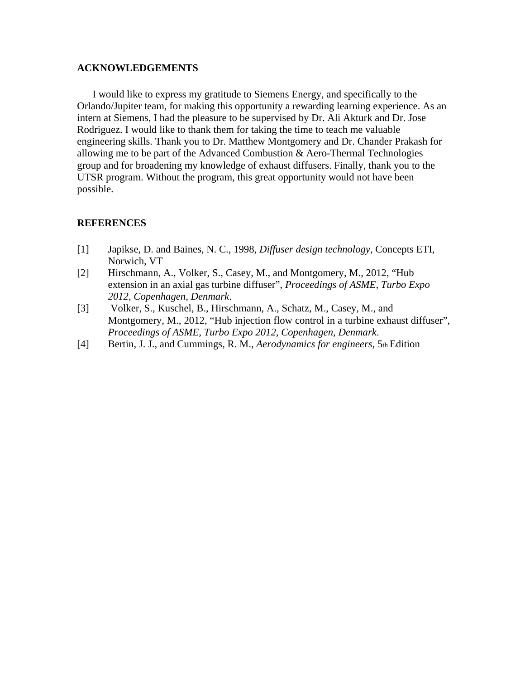#### **ACKNOWLEDGEMENTS**

I would like to express my gratitude to Siemens Energy, and specifically to the Orlando/Jupiter team, for making this opportunity a rewarding learning experience. As an intern at Siemens, I had the pleasure to be supervised by Dr. Ali Akturk and Dr. Jose Rodriguez. I would like to thank them for taking the time to teach me valuable engineering skills. Thank you to Dr. Matthew Montgomery and Dr. Chander Prakash for allowing me to be part of the Advanced Combustion & Aero-Thermal Technologies group and for broadening my knowledge of exhaust diffusers. Finally, thank you to the UTSR program. Without the program, this great opportunity would not have been possible.

# **REFERENCES**

- [1] Japikse, D. and Baines, N. C., 1998, *Diffuser design technology*, Concepts ETI, Norwich, VT
- [2] Hirschmann, A., Volker, S., Casey, M., and Montgomery, M., 2012, "Hub extension in an axial gas turbine diffuser", *Proceedings of ASME, Turbo Expo 2012, Copenhagen, Denmark*.
- [3] Volker, S., Kuschel, B., Hirschmann, A., Schatz, M., Casey, M., and Montgomery, M., 2012, "Hub injection flow control in a turbine exhaust diffuser", *Proceedings of ASME, Turbo Expo 2012, Copenhagen, Denmark*.
- [4] Bertin, J. J., and Cummings, R. M., *Aerodynamics for engineers*, 5th Edition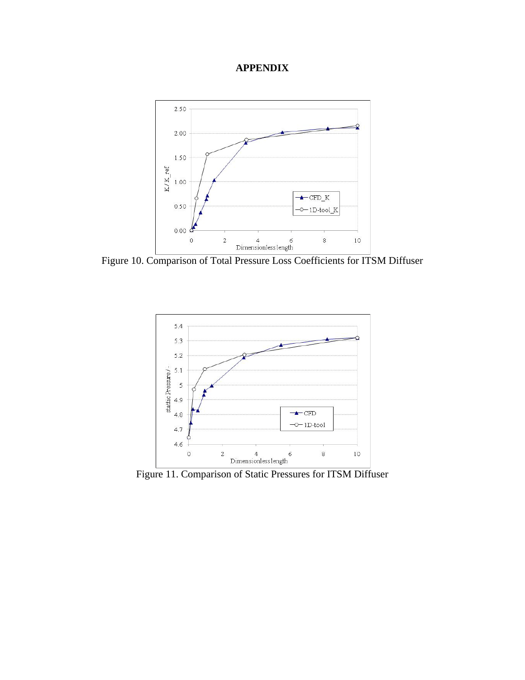# **APPENDIX**



Figure 10. Comparison of Total Pressure Loss Coefficients for ITSM Diffuser



Figure 11. Comparison of Static Pressures for ITSM Diffuser